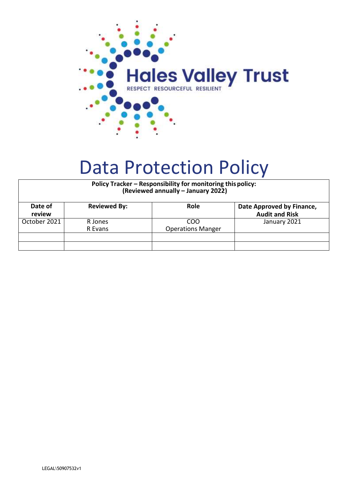

# Data Protection Policy

| Policy Tracker - Responsibility for monitoring this policy:<br>(Reviewed annually - January 2022) |                     |                                 |                                                    |  |
|---------------------------------------------------------------------------------------------------|---------------------|---------------------------------|----------------------------------------------------|--|
| Date of<br>review                                                                                 | <b>Reviewed By:</b> | Role                            | Date Approved by Finance,<br><b>Audit and Risk</b> |  |
| October 2021                                                                                      | R Jones<br>R Evans  | COO<br><b>Operations Manger</b> | January 2021                                       |  |
|                                                                                                   |                     |                                 |                                                    |  |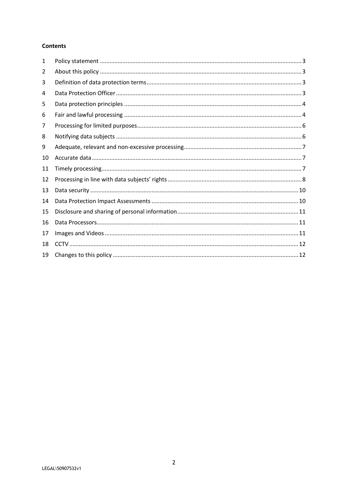## **Contents**

| 1  |  |
|----|--|
| 2  |  |
| 3  |  |
| 4  |  |
| 5  |  |
| 6  |  |
| 7  |  |
| 8  |  |
| 9  |  |
| 10 |  |
| 11 |  |
| 12 |  |
| 13 |  |
| 14 |  |
| 15 |  |
| 16 |  |
| 17 |  |
| 18 |  |
| 19 |  |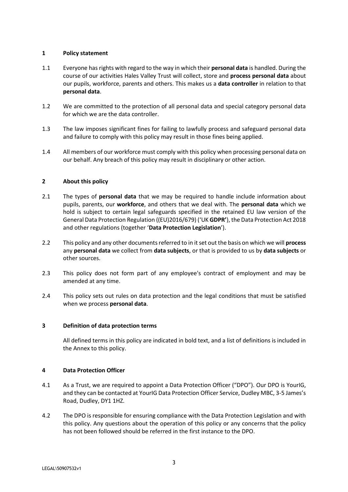# <span id="page-2-0"></span>**1 Policy statement**

- 1.1 Everyone has rights with regard to the way in which their **personal data** is handled. During the course of our activities Hales Valley Trust will collect, store and **process personal data** about our pupils, workforce, parents and others. This makes us a **data controller** in relation to that **personal data**.
- 1.2 We are committed to the protection of all personal data and special category personal data for which we are the data controller.
- 1.3 The law imposes significant fines for failing to lawfully process and safeguard personal data and failure to comply with this policy may result in those fines being applied.
- 1.4 All members of our workforce must comply with this policy when processing personal data on our behalf. Any breach of this policy may result in disciplinary or other action.

# <span id="page-2-1"></span>**2 About this policy**

- 2.1 The types of **personal data** that we may be required to handle include information about pupils, parents, our **workforce**, and others that we deal with. The **personal data** which we hold is subject to certain legal safeguards specified in the retained EU law version of the General Data Protection Regulation ((EU)2016/679) ('UK **GDPR'**), the Data Protection Act 2018 and other regulations (together '**Data Protection Legislation**').
- 2.2 This policy and any other documents referred to in it set out the basis on which we will **process** any **personal data** we collect from **data subjects**, or that is provided to us by **data subjects** or other sources.
- 2.3 This policy does not form part of any employee's contract of employment and may be amended at any time.
- 2.4 This policy sets out rules on data protection and the legal conditions that must be satisfied when we process **personal data**.

## <span id="page-2-2"></span>**3 Definition of data protection terms**

All defined terms in this policy are indicated in bold text, and a list of definitions is included in the Annex to this policy.

## <span id="page-2-3"></span>**4 Data Protection Officer**

- 4.1 As a Trust, we are required to appoint a Data Protection Officer ("DPO"). Our DPO is YourIG, and they can be contacted at YourIG Data Protection Officer Service, Dudley MBC, 3-5 James's Road, Dudley, DY1 1HZ.
- 4.2 The DPO is responsible for ensuring compliance with the Data Protection Legislation and with this policy. Any questions about the operation of this policy or any concerns that the policy has not been followed should be referred in the first instance to the DPO.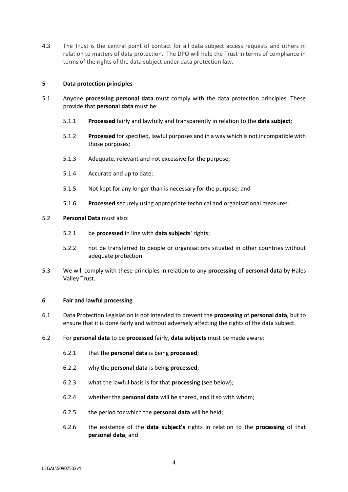4.3 The Trust is the central point of contact for all data subject access requests and others in relation to matters of data protection. The DPO will help the Trust in terms of compliance in terms of the rights of the data subject under data protection law.

## <span id="page-3-0"></span>**5 Data protection principles**

- 5.1 Anyone **processing personal data** must comply with the data protection principles. These provide that **personal data** must be:
	- 5.1.1 **Processed** fairly and lawfully and transparently in relation to the **data subject**;
	- 5.1.2 **Processed** for specified, lawful purposes and in a way which is not incompatible with those purposes;
	- 5.1.3 Adequate, relevant and not excessive for the purpose;
	- 5.1.4 Accurate and up to date;
	- 5.1.5 Not kept for any longer than is necessary for the purpose; and
	- 5.1.6 **Processed** securely using appropriate technical and organisational measures.

#### 5.2 **Personal Data** must also:

- 5.2.1 be **processed** in line with **data subjects'** rights;
- 5.2.2 not be transferred to people or organisations situated in other countries without adequate protection.
- 5.3 We will comply with these principles in relation to any **processing** of **personal data** by Hales Valley Trust.

#### <span id="page-3-1"></span>**6 Fair and lawful processing**

- 6.1 Data Protection Legislation is not intended to prevent the **processing** of **personal data**, but to ensure that it is done fairly and without adversely affecting the rights of the data subject.
- 6.2 For **personal data** to be **processed** fairly, **data subjects** must be made aware:
	- 6.2.1 that the **personal data** is being **processed**;
	- 6.2.2 why the **personal data** is being **processed**;
	- 6.2.3 what the lawful basis is for that **processing** (see below);
	- 6.2.4 whether the **personal data** will be shared, and if so with whom;
	- 6.2.5 the period for which the **personal data** will be held;
	- 6.2.6 the existence of the **data subject's** rights in relation to the **processing** of that **personal data**; and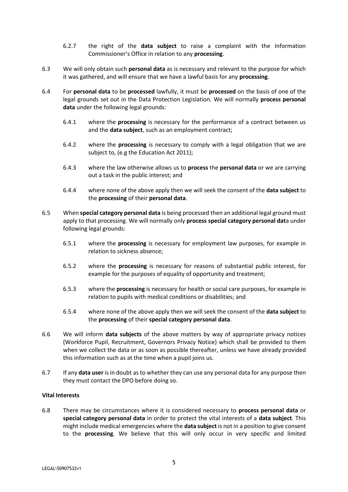- 6.2.7 the right of the **data subject** to raise a complaint with the Information Commissioner's Office in relation to any **processing**.
- 6.3 We will only obtain such **personal data** as is necessary and relevant to the purpose for which it was gathered, and will ensure that we have a lawful basis for any **processing**.
- 6.4 For **personal data** to be **processed** lawfully, it must be **processed** on the basis of one of the legal grounds set out in the Data Protection Legislation. We will normally **process personal data** under the following legal grounds:
	- 6.4.1 where the **processing** is necessary for the performance of a contract between us and the **data subject**, such as an employment contract;
	- 6.4.2 where the **processing** is necessary to comply with a legal obligation that we are subject to, (e.g the Education Act 2011);
	- 6.4.3 where the law otherwise allows us to **process** the **personal data** or we are carrying out a task in the public interest; and
	- 6.4.4 where none of the above apply then we will seek the consent of the **data subject** to the **processing** of their **personal data**.
- 6.5 When **special category personal data** is being processed then an additional legal ground must apply to that processing. We will normally only **process special category personal dat**a under following legal grounds:
	- 6.5.1 where the **processing** is necessary for employment law purposes, for example in relation to sickness absence;
	- 6.5.2 where the **processing** is necessary for reasons of substantial public interest, for example for the purposes of equality of opportunity and treatment;
	- 6.5.3 where the **processing** is necessary for health or social care purposes, for example in relation to pupils with medical conditions or disabilities; and
	- 6.5.4 where none of the above apply then we will seek the consent of the **data subject** to the **processing** of their **special category personal data**.
- 6.6 We will inform **data subjects** of the above matters by way of appropriate privacy notices (Workforce Pupil, Recruitment, Governors Privacy Notice) which shall be provided to them when we collect the data or as soon as possible thereafter, unless we have already provided this information such as at the time when a pupil joins us.
- 6.7 If any **data user** is in doubt as to whether they can use any personal data for any purpose then they must contact the DPO before doing so.

## **Vital Interests**

6.8 There may be circumstances where it is considered necessary to **process personal data** or **special category personal data** in order to protect the vital interests of a **data subject**. This might include medical emergencies where the **data subject** is not in a position to give consent to the **processing**. We believe that this will only occur in very specific and limited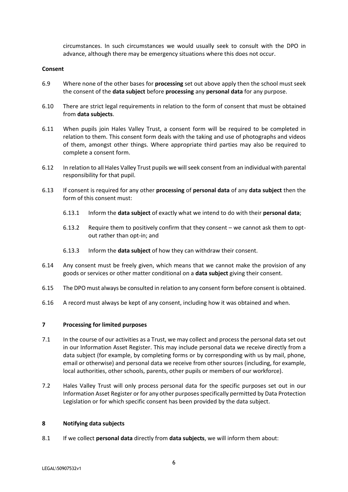circumstances. In such circumstances we would usually seek to consult with the DPO in advance, although there may be emergency situations where this does not occur.

#### **Consent**

- 6.9 Where none of the other bases for **processing** set out above apply then the school must seek the consent of the **data subject** before **processing** any **personal data** for any purpose.
- 6.10 There are strict legal requirements in relation to the form of consent that must be obtained from **data subjects**.
- 6.11 When pupils join Hales Valley Trust, a consent form will be required to be completed in relation to them. This consent form deals with the taking and use of photographs and videos of them, amongst other things. Where appropriate third parties may also be required to complete a consent form.
- 6.12 In relation to all Hales Valley Trust pupils we will seek consent from an individual with parental responsibility for that pupil.
- 6.13 If consent is required for any other **processing** of **personal data** of any **data subject** then the form of this consent must:
	- 6.13.1 Inform the **data subject** of exactly what we intend to do with their **personal data**;
	- 6.13.2 Require them to positively confirm that they consent we cannot ask them to optout rather than opt-in; and
	- 6.13.3 Inform the **data subject** of how they can withdraw their consent.
- 6.14 Any consent must be freely given, which means that we cannot make the provision of any goods or services or other matter conditional on a **data subject** giving their consent.
- 6.15 The DPO must always be consulted in relation to any consent form before consent is obtained.
- 6.16 A record must always be kept of any consent, including how it was obtained and when.

## <span id="page-5-0"></span>**7 Processing for limited purposes**

- 7.1 In the course of our activities as a Trust, we may collect and process the personal data set out in our Information Asset Register. This may include personal data we receive directly from a data subject (for example, by completing forms or by corresponding with us by mail, phone, email or otherwise) and personal data we receive from other sources (including, for example, local authorities, other schools, parents, other pupils or members of our workforce).
- 7.2 Hales Valley Trust will only process personal data for the specific purposes set out in our Information Asset Register or for any other purposes specifically permitted by Data Protection Legislation or for which specific consent has been provided by the data subject.

#### <span id="page-5-1"></span>**8 Notifying data subjects**

8.1 If we collect **personal data** directly from **data subjects**, we will inform them about: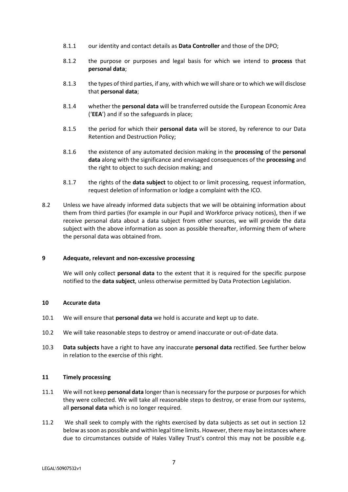- 8.1.1 our identity and contact details as **Data Controller** and those of the DPO;
- 8.1.2 the purpose or purposes and legal basis for which we intend to **process** that **personal data**;
- 8.1.3 the types of third parties, if any, with which we will share or to which we will disclose that **personal data**;
- 8.1.4 whether the **personal data** will be transferred outside the European Economic Area ('**EEA**') and if so the safeguards in place;
- 8.1.5 the period for which their **personal data** will be stored, by reference to our Data Retention and Destruction Policy;
- 8.1.6 the existence of any automated decision making in the **processing** of the **personal data** along with the significance and envisaged consequences of the **processing** and the right to object to such decision making; and
- 8.1.7 the rights of the **data subject** to object to or limit processing, request information, request deletion of information or lodge a complaint with the ICO.
- 8.2 Unless we have already informed data subjects that we will be obtaining information about them from third parties (for example in our Pupil and Workforce privacy notices), then if we receive personal data about a data subject from other sources, we will provide the data subject with the above information as soon as possible thereafter, informing them of where the personal data was obtained from.

## <span id="page-6-0"></span>**9 Adequate, relevant and non-excessive processing**

We will only collect **personal data** to the extent that it is required for the specific purpose notified to the **data subject**, unless otherwise permitted by Data Protection Legislation.

#### <span id="page-6-1"></span>**10 Accurate data**

- 10.1 We will ensure that **personal data** we hold is accurate and kept up to date.
- 10.2 We will take reasonable steps to destroy or amend inaccurate or out-of-date data.
- 10.3 **Data subjects** have a right to have any inaccurate **personal data** rectified. See further below in relation to the exercise of this right.

#### <span id="page-6-2"></span>**11 Timely processing**

- 11.1 We will not keep **personal data** longer than is necessary for the purpose or purposes for which they were collected. We will take all reasonable steps to destroy, or erase from our systems, all **personal data** which is no longer required.
- 11.2 We shall seek to comply with the rights exercised by data subjects as set out in section 12 below as soon as possible and within legal time limits. However, there may be instances where due to circumstances outside of Hales Valley Trust's control this may not be possible e.g.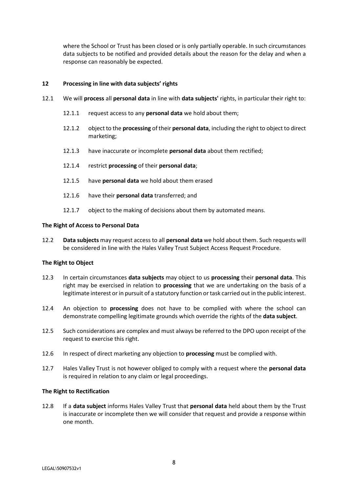<span id="page-7-0"></span>where the School or Trust has been closed or is only partially operable. In such circumstances data subjects to be notified and provided details about the reason for the delay and when a response can reasonably be expected.

## **12 Processing in line with data subjects' rights**

- 12.1 We will **process** all **personal data** in line with **data subjects'** rights, in particular their right to:
	- 12.1.1 request access to any **personal data** we hold about them;
	- 12.1.2 object to the **processing** of their **personal data**, including the right to object to direct marketing;
	- 12.1.3 have inaccurate or incomplete **personal data** about them rectified;
	- 12.1.4 restrict **processing** of their **personal data**;
	- 12.1.5 have **personal data** we hold about them erased
	- 12.1.6 have their **personal data** transferred; and
	- 12.1.7 object to the making of decisions about them by automated means.

#### **The Right of Access to Personal Data**

12.2 **Data subjects** may request access to all **personal data** we hold about them. Such requests will be considered in line with the Hales Valley Trust Subject Access Request Procedure.

#### **The Right to Object**

- 12.3 In certain circumstances **data subjects** may object to us **processing** their **personal data**. This right may be exercised in relation to **processing** that we are undertaking on the basis of a legitimate interest or in pursuit of a statutory function or task carried out in the public interest.
- 12.4 An objection to **processing** does not have to be complied with where the school can demonstrate compelling legitimate grounds which override the rights of the **data subject**.
- 12.5 Such considerations are complex and must always be referred to the DPO upon receipt of the request to exercise this right.
- 12.6 In respect of direct marketing any objection to **processing** must be complied with.
- 12.7 Hales Valley Trust is not however obliged to comply with a request where the **personal data** is required in relation to any claim or legal proceedings.

#### **The Right to Rectification**

12.8 If a **data subject** informs Hales Valley Trust that **personal data** held about them by the Trust is inaccurate or incomplete then we will consider that request and provide a response within one month.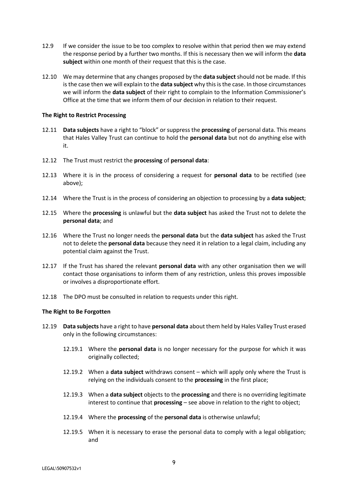- 12.9 If we consider the issue to be too complex to resolve within that period then we may extend the response period by a further two months. If this is necessary then we will inform the **data subject** within one month of their request that this is the case.
- 12.10 We may determine that any changes proposed by the **data subject** should not be made. If this is the case then we will explain to the **data subject** why this is the case. In those circumstances we will inform the **data subject** of their right to complain to the Information Commissioner's Office at the time that we inform them of our decision in relation to their request.

### **The Right to Restrict Processing**

- 12.11 **Data subjects** have a right to "block" or suppress the **processing** of personal data. This means that Hales Valley Trust can continue to hold the **personal data** but not do anything else with it.
- 12.12 The Trust must restrict the **processing** of **personal data**:
- 12.13 Where it is in the process of considering a request for **personal data** to be rectified (see above);
- 12.14 Where the Trust is in the process of considering an objection to processing by a **data subject**;
- 12.15 Where the **processing** is unlawful but the **data subject** has asked the Trust not to delete the **personal data**; and
- 12.16 Where the Trust no longer needs the **personal data** but the **data subject** has asked the Trust not to delete the **personal data** because they need it in relation to a legal claim, including any potential claim against the Trust.
- 12.17 If the Trust has shared the relevant **personal data** with any other organisation then we will contact those organisations to inform them of any restriction, unless this proves impossible or involves a disproportionate effort.
- 12.18 The DPO must be consulted in relation to requests under this right.

## **The Right to Be Forgotten**

- 12.19 **Data subjects** have a right to have **personal data** about them held by Hales Valley Trust erased only in the following circumstances:
	- 12.19.1 Where the **personal data** is no longer necessary for the purpose for which it was originally collected;
	- 12.19.2 When a **data subject** withdraws consent which will apply only where the Trust is relying on the individuals consent to the **processing** in the first place;
	- 12.19.3 When a **data subject** objects to the **processing** and there is no overriding legitimate interest to continue that **processing** – see above in relation to the right to object;
	- 12.19.4 Where the **processing** of the **personal data** is otherwise unlawful;
	- 12.19.5 When it is necessary to erase the personal data to comply with a legal obligation; and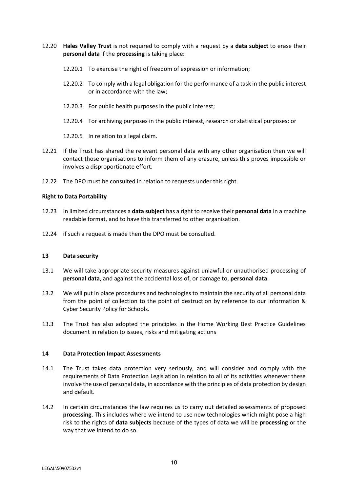- 12.20 **Hales Valley Trust** is not required to comply with a request by a **data subject** to erase their **personal data** if the **processing** is taking place:
	- 12.20.1 To exercise the right of freedom of expression or information;
	- 12.20.2 To comply with a legal obligation for the performance of a task in the public interest or in accordance with the law;
	- 12.20.3 For public health purposes in the public interest;
	- 12.20.4 For archiving purposes in the public interest, research or statistical purposes; or
	- 12.20.5 In relation to a legal claim.
- 12.21 If the Trust has shared the relevant personal data with any other organisation then we will contact those organisations to inform them of any erasure, unless this proves impossible or involves a disproportionate effort.
- 12.22 The DPO must be consulted in relation to requests under this right.

### **Right to Data Portability**

- 12.23 In limited circumstances a **data subject** has a right to receive their **personal data** in a machine readable format, and to have this transferred to other organisation.
- 12.24 if such a request is made then the DPO must be consulted.

#### <span id="page-9-0"></span>**13 Data security**

- 13.1 We will take appropriate security measures against unlawful or unauthorised processing of **personal data**, and against the accidental loss of, or damage to, **personal data**.
- 13.2 We will put in place procedures and technologies to maintain the security of all personal data from the point of collection to the point of destruction by reference to our Information & Cyber Security Policy for Schools.
- 13.3 The Trust has also adopted the principles in the Home Working Best Practice Guidelines document in relation to issues, risks and mitigating actions

#### <span id="page-9-1"></span>**14 Data Protection Impact Assessments**

- 14.1 The Trust takes data protection very seriously, and will consider and comply with the requirements of Data Protection Legislation in relation to all of its activities whenever these involve the use of personal data, in accordance with the principles of data protection by design and default.
- 14.2 In certain circumstances the law requires us to carry out detailed assessments of proposed **processing**. This includes where we intend to use new technologies which might pose a high risk to the rights of **data subjects** because of the types of data we will be **processing** or the way that we intend to do so.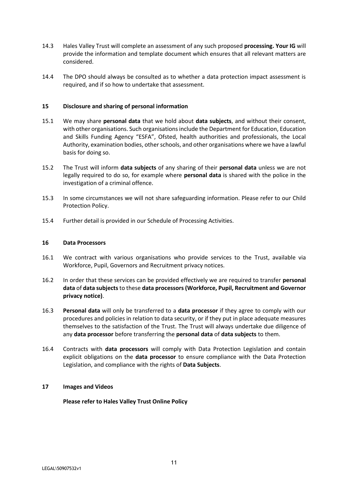- 14.3 Hales Valley Trust will complete an assessment of any such proposed **processing. Your IG** will provide the information and template document which ensures that all relevant matters are considered.
- 14.4 The DPO should always be consulted as to whether a data protection impact assessment is required, and if so how to undertake that assessment.

# <span id="page-10-0"></span>**15 Disclosure and sharing of personal information**

- 15.1 We may share **personal data** that we hold about **data subjects**, and without their consent, with other organisations. Such organisations include the Department for Education, Education and Skills Funding Agency "ESFA", Ofsted, health authorities and professionals, the Local Authority, examination bodies, other schools, and other organisations where we have a lawful basis for doing so.
- 15.2 The Trust will inform **data subjects** of any sharing of their **personal data** unless we are not legally required to do so, for example where **personal data** is shared with the police in the investigation of a criminal offence.
- 15.3 In some circumstances we will not share safeguarding information. Please refer to our Child Protection Policy.
- 15.4 Further detail is provided in our Schedule of Processing Activities.

## <span id="page-10-1"></span>**16 Data Processors**

- 16.1 We contract with various organisations who provide services to the Trust, available via Workforce, Pupil, Governors and Recruitment privacy notices.
- 16.2 In order that these services can be provided effectively we are required to transfer **personal data** of **data subjects**to these **data processors(Workforce, Pupil, Recruitment and Governor privacy notice)**.
- 16.3 **Personal data** will only be transferred to a **data processor** if they agree to comply with our procedures and policies in relation to data security, or if they put in place adequate measures themselves to the satisfaction of the Trust. The Trust will always undertake due diligence of any **data processor** before transferring the **personal data** of **data subjects** to them.
- 16.4 Contracts with **data processors** will comply with Data Protection Legislation and contain explicit obligations on the **data processor** to ensure compliance with the Data Protection Legislation, and compliance with the rights of **Data Subjects**.

## <span id="page-10-2"></span>**17 Images and Videos**

**Please refer to Hales Valley Trust Online Policy**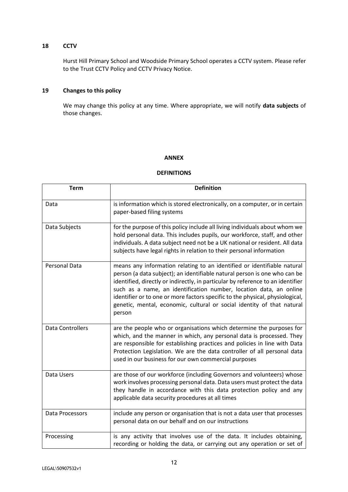# <span id="page-11-0"></span>**18 CCTV**

Hurst Hill Primary School and Woodside Primary School operates a CCTV system. Please refer to the Trust CCTV Policy and CCTV Privacy Notice.

# <span id="page-11-1"></span>**19 Changes to this policy**

We may change this policy at any time. Where appropriate, we will notify **data subjects** of those changes.

## **ANNEX**

# **DEFINITIONS**

| <b>Term</b>             | <b>Definition</b>                                                                                                                                                                                                                                                                                                                                                                                                                                                                  |
|-------------------------|------------------------------------------------------------------------------------------------------------------------------------------------------------------------------------------------------------------------------------------------------------------------------------------------------------------------------------------------------------------------------------------------------------------------------------------------------------------------------------|
| Data                    | is information which is stored electronically, on a computer, or in certain<br>paper-based filing systems                                                                                                                                                                                                                                                                                                                                                                          |
| Data Subjects           | for the purpose of this policy include all living individuals about whom we<br>hold personal data. This includes pupils, our workforce, staff, and other<br>individuals. A data subject need not be a UK national or resident. All data<br>subjects have legal rights in relation to their personal information                                                                                                                                                                    |
| Personal Data           | means any information relating to an identified or identifiable natural<br>person (a data subject); an identifiable natural person is one who can be<br>identified, directly or indirectly, in particular by reference to an identifier<br>such as a name, an identification number, location data, an online<br>identifier or to one or more factors specific to the physical, physiological,<br>genetic, mental, economic, cultural or social identity of that natural<br>person |
| <b>Data Controllers</b> | are the people who or organisations which determine the purposes for<br>which, and the manner in which, any personal data is processed. They<br>are responsible for establishing practices and policies in line with Data<br>Protection Legislation. We are the data controller of all personal data<br>used in our business for our own commercial purposes                                                                                                                       |
| Data Users              | are those of our workforce (including Governors and volunteers) whose<br>work involves processing personal data. Data users must protect the data<br>they handle in accordance with this data protection policy and any<br>applicable data security procedures at all times                                                                                                                                                                                                        |
| Data Processors         | include any person or organisation that is not a data user that processes<br>personal data on our behalf and on our instructions                                                                                                                                                                                                                                                                                                                                                   |
| Processing              | is any activity that involves use of the data. It includes obtaining,<br>recording or holding the data, or carrying out any operation or set of                                                                                                                                                                                                                                                                                                                                    |